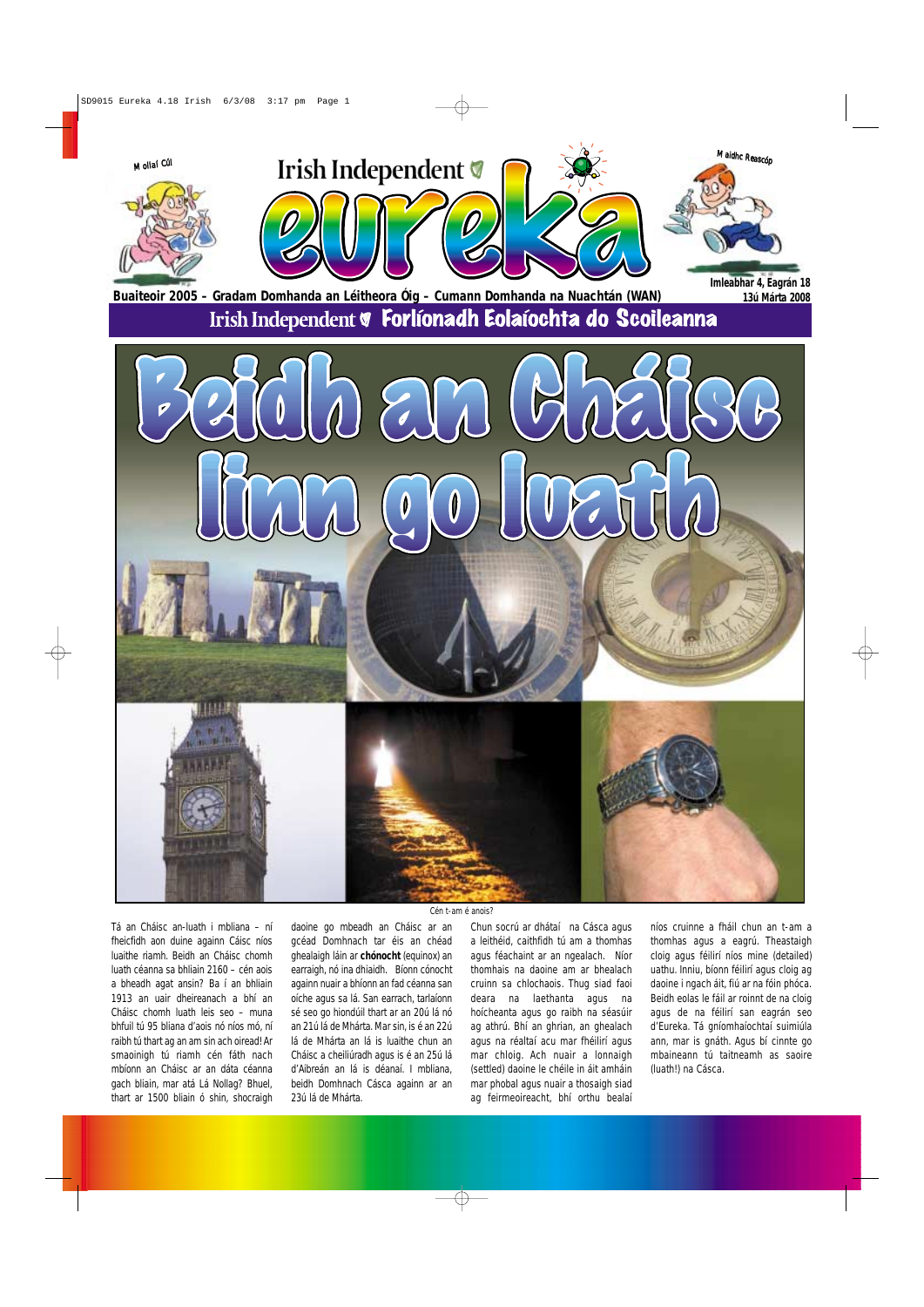Tá an Cháisc an-luath i mbliana – ní fheicfidh aon duine againn Cáisc níos luaithe riamh. Beidh an Cháisc chomh luath céanna sa bhliain 2160 – cén aois a bheadh agat ansin? Ba í an bhliain 1913 an uair dheireanach a bhí an Cháisc chomh luath leis seo – muna bhfuil tú 95 bliana d'aois nó níos mó, ní raibh tú thart ag an am sin ach oiread! Ar smaoinigh tú riamh cén fáth nach mbíonn an Cháisc ar an dáta céanna gach bliain, mar atá Lá Nollag? Bhuel, thart ar 1500 bliain ó shin, shocraigh daoine go mbeadh an Cháisc ar an gcéad Domhnach tar éis an chéad ghealaigh láin ar **chónocht** (equinox) an earraigh, nó ina dhiaidh. Bíonn cónocht againn nuair a bhíonn an fad céanna san oíche agus sa lá. San earrach, tarlaíonn sé seo go hiondúil thart ar an 20ú lá nó an 21ú lá de Mhárta. Mar sin, is é an 22ú lá de Mhárta an lá is luaithe chun an Cháisc a cheiliúradh agus is é an 25ú lá d'Aibreán an lá is déanaí. I mbliana, beidh Domhnach Cásca againn ar an 23ú lá de Mhárta.

Chun socrú ar dhátaí na Cásca agus a leithéid, caithfidh tú am a thomhas agus féachaint ar an ngealach. Níor thomhais na daoine am ar bhealach cruinn sa chlochaois. Thug siad faoi deara na laethanta agus na hoícheanta agus go raibh na séasúir ag athrú. Bhí an ghrian, an ghealach agus na réaltaí acu mar fhéilirí agus mar chloig. Ach nuair a lonnaigh (settled) daoine le chéile in áit amháin mar phobal agus nuair a thosaigh siad ag feirmeoireacht, bhí orthu bealaí

níos cruinne a fháil chun an t-am a thomhas agus a eagrú. Theastaigh cloig agus féilirí níos mine (detailed) uathu. Inniu, bíonn féilirí agus cloig ag daoine i ngach áit, fiú ar na fóin phóca. Beidh eolas le fáil ar roinnt de na cloig agus de na féilirí san eagrán seo d'Eureka. Tá gníomhaíochtaí suimiúla ann, mar is gnáth. Agus bí cinnte go mbaineann tú taitneamh as saoire (luath!) na Cásca.



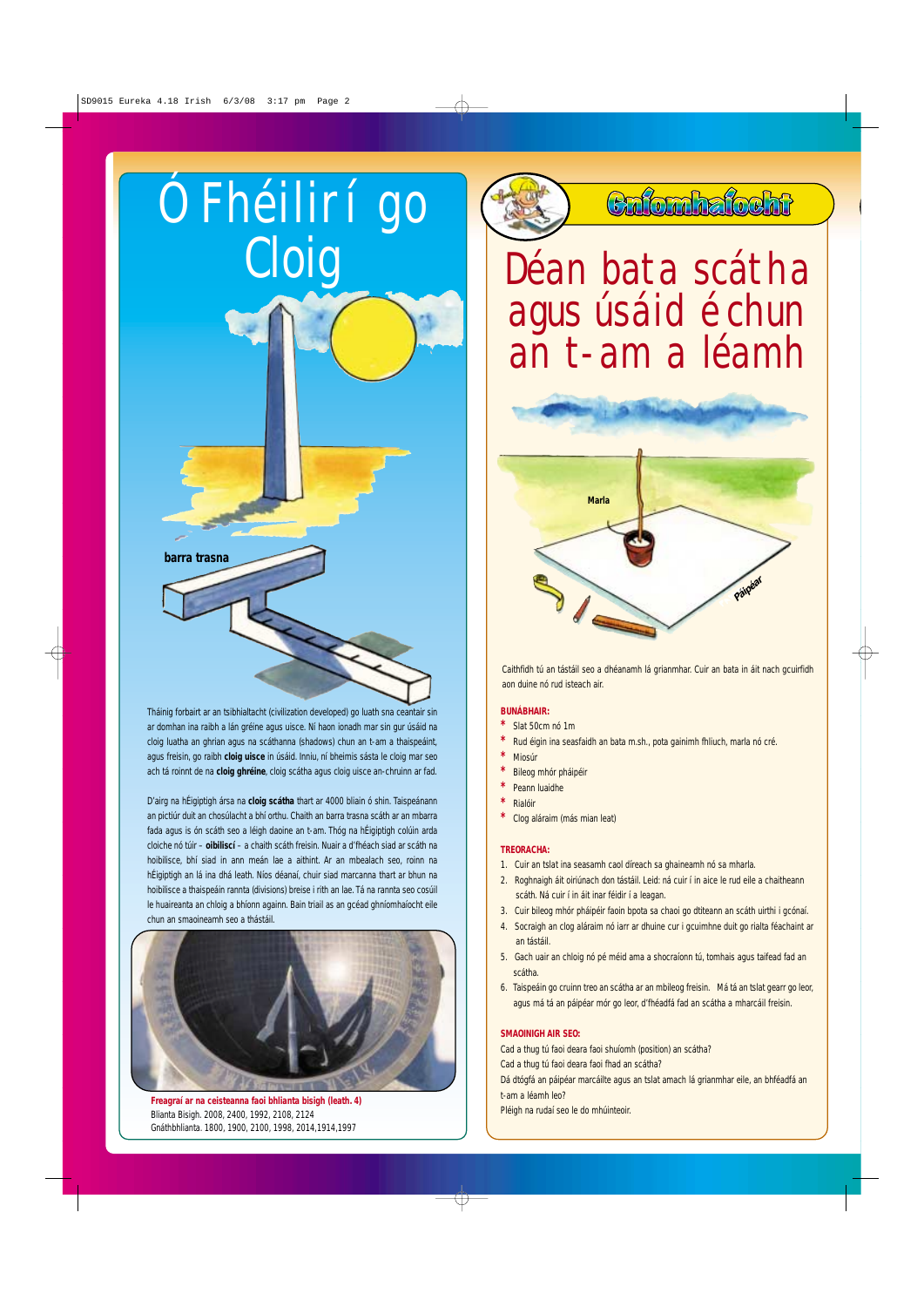Tháinig forbairt ar an tsibhialtacht (civilization developed) go luath sna ceantair sin ar domhan ina raibh a lán gréine agus uisce. Ní haon ionadh mar sin gur úsáid na cloig luatha an ghrian agus na scáthanna (shadows) chun an t-am a thaispeáint, agus freisin, go raibh **cloig uisce** in úsáid. Inniu, ní bheimis sásta le cloig mar seo ach tá roinnt de na **cloig ghréine**, cloig scátha agus cloig uisce an-chruinn ar fad.

## Cloig <u>Déan bata</u> scátha agus úsáid é chun an t-am a léamh

D'airg na hÉigiptigh ársa na **cloig scátha** thart ar 4000 bliain ó shin. Taispeánann an pictiúr duit an chosúlacht a bhí orthu. Chaith an barra trasna scáth ar an mbarra fada agus is ón scáth seo a léigh daoine an t-am. Thóg na hÉigiptigh colúin arda cloiche nó túir – **oibiliscí** – a chaith scáth freisin. Nuair a d'fhéach siad ar scáth na hoibilisce, bhí siad in ann meán lae a aithint. Ar an mbealach seo, roinn na hÉigiptigh an lá ina dhá leath. Níos déanaí, chuir siad marcanna thart ar bhun na hoibilisce a thaispeáin rannta (divisions) breise i rith an lae. Tá na rannta seo cosúil le huaireanta an chloig a bhíonn againn. Bain triail as an gcéad ghníomhaíocht eile chun an smaoineamh seo a thástáil.





### Colombalocht

**Freagraí ar na ceisteanna faoi bhlianta bisigh (leath. 4)** Blianta Bisigh. 2008, 2400, 1992, 2108, 2124 Gnáthbhlianta. 1800, 1900, 2100, 1998, 2014,1914,1997

#### **BUNÁBHAIR:**

- **\*** Slat 50cm nó 1m
- **\*** Rud éigin ina seasfaidh an bata m.sh., pota gainimh fhliuch, marla nó cré.
- **\*** Miosúr
- **\*** Bileog mhór pháipéir
- **\*** Peann luaidhe
- **\*** Rialóir
- **\*** Clog aláraim (más mian leat)

#### **TREORACHA:**

- 1. Cuir an tslat ina seasamh caol díreach sa ghaineamh nó sa mharla.
- 2. Roghnaigh áit oiriúnach don tástáil. Leid: ná cuir í in aice le rud eile a chaitheann scáth. Ná cuir í in áit inar féidir í a leagan.
- 3. Cuir bileog mhór pháipéir faoin bpota sa chaoi go dtiteann an scáth uirthi i gcónaí.
- 4. Socraigh an clog aláraim nó iarr ar dhuine cur i gcuimhne duit go rialta féachaint ar an tástáil.
- 5. Gach uair an chloig nó pé méid ama a shocraíonn tú, tomhais agus taifead fad an scátha.
- 



6. Taispeáin go cruinn treo an scátha ar an mbileog freisin. Má tá an tslat gearr go leor, agus má tá an páipéar mór go leor, d'fhéadfá fad an scátha a mharcáil freisin.

#### **SMAOINIGH AIR SEO:**

Cad a thug tú faoi deara faoi shuíomh (position) an scátha? Cad a thug tú faoi deara faoi fhad an scátha? Dá dtógfá an páipéar marcáilte agus an tslat amach lá grianmhar eile, an bhféadfá an t-am a léamh leo?

Pléigh na rudaí seo le do mhúinteoir.

Caithfidh tú an tástáil seo a dhéanamh lá grianmhar. Cuir an bata in áit nach gcuirfidh aon duine nó rud isteach air.

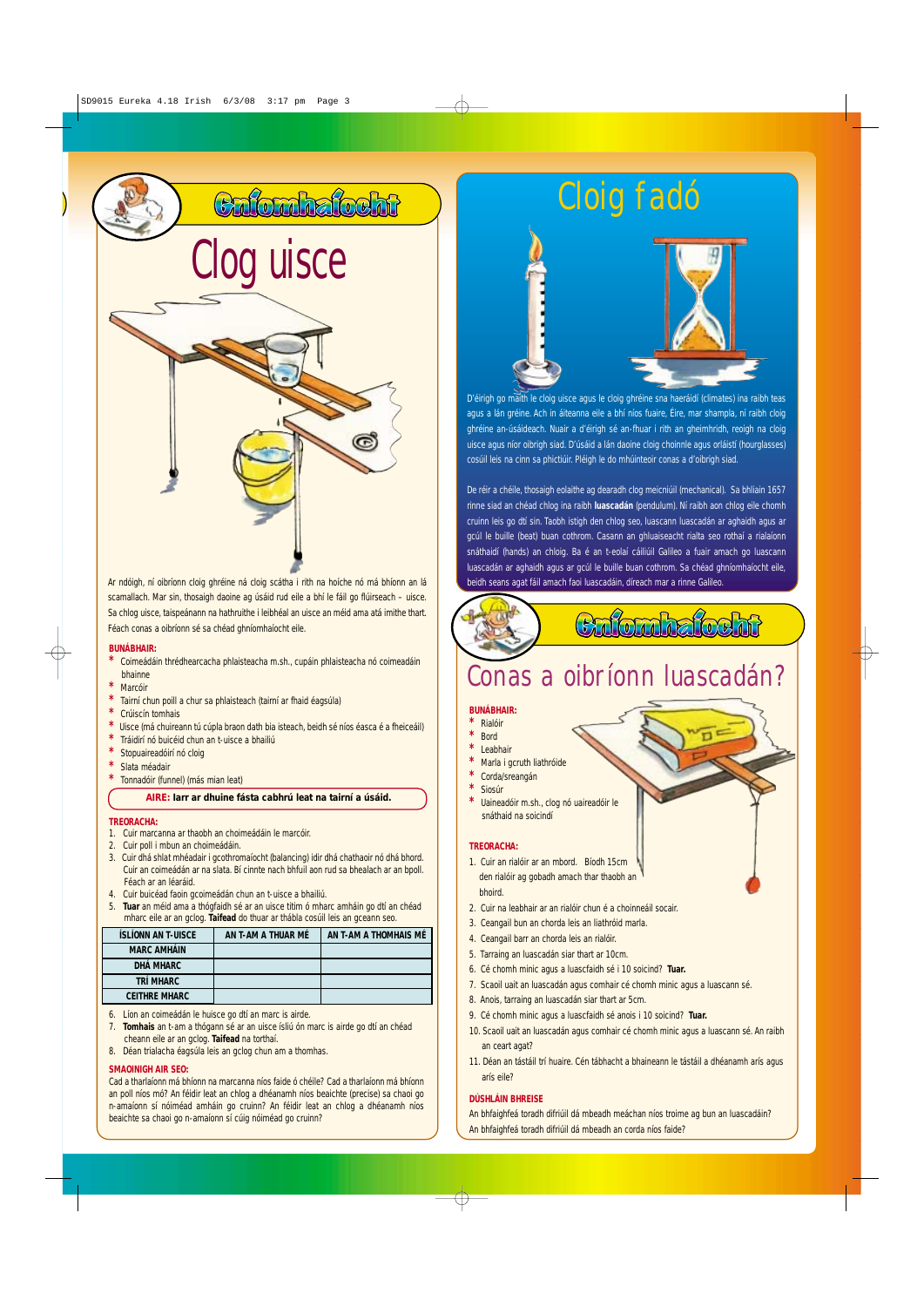# Clog uisce



#### **BUNÁBHAIR:**

- **\*** Coimeádáin thrédhearcacha phlaisteacha m.sh., cupáin phlaisteacha nó coimeadáin bhainne
- **\*** Marcóir
- Tairní chun poill a chur sa phlaisteach (tairní ar fhaid éagsúla)
- **\*** Crúiscín tomhais
- Uisce (má chuireann tú cúpla braon dath bia isteach, beidh sé níos éasca é a fheiceáil)
- **\*** Tráidirí nó buicéid chun an t-uisce a bhailiú
- Stopuaireadóirí nó cloig
- **\*** Slata méadair
- **\*** Tonnadóir (funnel) (más mian leat)

#### **TREORACHA:**

- 1. Cuir marcanna ar thaobh an choimeádáin le marcóir.
- 2. Cuir poll i mbun an choimeádáin.
- 3. Cuir dhá shlat mhéadair i gcothromaíocht (balancing) idir dhá chathaoir nó dhá bhord. Cuir an coimeádán ar na slata. Bí cinnte nach bhfuil aon rud sa bhealach ar an bpoll. Féach ar an léaráid.
- 4. Cuir buicéad faoin gcoimeádán chun an t-uisce a bhailiú.
- 5. **Tuar** an méid ama a thógfaidh sé ar an uisce titim ó mharc amháin go dtí an chéad mharc eile ar an gclog. **Taifead** do thuar ar thábla cosúil leis an gceann seo.

- 6. Líon an coimeádán le huisce go dtí an marc is airde.
- 7. **Tomhais** an t-am a thógann sé ar an uisce ísliú ón marc is airde go dtí an chéad cheann eile ar an gclog. **Taifead** na torthaí.
- 8. Déan trialacha éagsúla leis an gclog chun am a thomhas.

#### **SMAOINIGH AIR SEO:**

Cad a tharlaíonn má bhíonn na marcanna níos faide ó chéile? Cad a tharlaíonn má bhíonn an poll níos mó? An féidir leat an chlog a dhéanamh níos beaichte (precise) sa chaoi go n-amaíonn sí nóiméad amháin go cruinn? An féidir leat an chlog a dhéanamh níos beaichte sa chaoi go n-amaíonn sí cúig nóiméad go cruinn?

#### **BUNÁBHAIR:**

- **\*** Rialóir
- **\*** Bord
- **\*** Leabhair
- **Marla i gcruth liathróide**
- **\*** Corda/sreangán
- **\*** Siosúr
- **Uaineadóir m.sh., clog nó uaireadóir le** snáthaid na soicindí

#### **TREORACHA:**

- 1. Cuir an rialóir ar an mbord. Bíodh 15cm den rialóir ag gobadh amach thar thaobh an bhoird.
- 2. Cuir na leabhair ar an rialóir chun é a choinneáil socair.
- 3. Ceangail bun an chorda leis an liathróid marla.
- 4. Ceangail barr an chorda leis an rialóir.
- 5. Tarraing an luascadán siar thart ar 10cm.
- 6. Cé chomh minic agus a luascfaidh sé i 10 soicind? **Tuar.**
- 7. Scaoil uait an luascadán agus comhair cé chomh minic agus a luascann sé.
- 
- 8. Anois, tarraing an luascadán siar thart ar 5cm.
- 9. Cé chomh minic agus a luascfaidh sé anois i 10 soicind? **Tuar.**
- 10. Scaoil uait an luascadán agus comhair cé chomh minic agus a luascann sé. An raibh an ceart agat?
- 11. Déan an tástáil trí huaire. Cén tábhacht a bhaineann le tástáil a dhéanamh arís agus arís eile?

#### **DÚSHLÁIN BHREISE**

An bhfaighfeá toradh difriúil dá mbeadh meáchan níos troime ag bun an luascadáin? An bhfaighfeá toradh difriúil dá mbeadh an corda níos faide?

### Cloig fadó

### Conas a oibríonn luascadán?

Ar ndóigh, ní oibríonn cloig ghréine ná cloig scátha i rith na hoíche nó má bhíonn an lá scamallach. Mar sin, thosaigh daoine ag úsáid rud eile a bhí le fáil go flúirseach – uisce. Sa chlog uisce, taispeánann na hathruithe i leibhéal an uisce an méid ama atá imithe thart. Féach conas a oibríonn sé sa chéad ghníomhaíocht eile.

D'éirigh go maith le cloig uisce agus le cloig ghréine sna haeráidí (climates) ina raibh teas agus a lán gréine. Ach in áiteanna eile a bhí níos fuaire, Éire, mar shampla, ní raibh cloig ghréine an-úsáideach. Nuair a d'éirigh sé an-fhuar i rith an gheimhridh, reoigh na cloig uisce agus níor oibrigh siad. D'úsáid a lán daoine cloig choinnle agus orláistí (hourglasses) cosúil leis na cinn sa phictiúir. Pléigh le do mhúinteoir conas a d'oibrigh siad.

De réir a chéile, thosaigh eolaithe ag dearadh clog meicniúil (mechanical). Sa bhliain 1657 rinne siad an chéad chlog ina raibh **luascadán** (pendulum). Ní raibh aon chlog eile chomh cruinn leis go dtí sin. Taobh istigh den chlog seo, luascann luascadán ar aghaidh agus ar gcúl le buille (beat) buan cothrom. Casann an ghluaiseacht rialta seo rothaí a rialaíonn snáthaidí (hands) an chloig. Ba é an t-eolaí cáiliúil Galileo a fuair amach go luascann luascadán ar aghaidh agus ar gcúl le buille buan cothrom. Sa chéad ghníomhaíocht eile, beidh seans agat fáil amach faoi luascadáin, díreach mar a rinne Galileo.

### Cafonhafocht

### **AIRE: Iarr ar dhuine fásta cabhrú leat na tairní a úsáid.**

| <b>ÍSLÍONN AN T-UISCE</b> | AN T-AM A THUAR MÉ | AN T-AM A THOMHAIS MÉ |
|---------------------------|--------------------|-----------------------|
| <b>MARC AMHÁIN</b>        |                    |                       |
| DHÁ MHARC                 |                    |                       |
| TRÍ MHARC                 |                    |                       |

#### **CEITHRE MHARC**

Calonhalocht